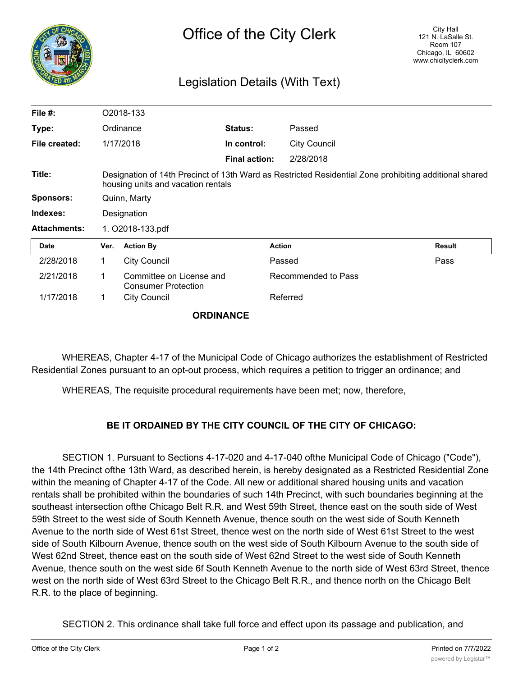

## Legislation Details (With Text)

| File $#$ :          |                                                                                                                                              | O2018-133                                              |                      |                     |               |
|---------------------|----------------------------------------------------------------------------------------------------------------------------------------------|--------------------------------------------------------|----------------------|---------------------|---------------|
| Type:               | Ordinance                                                                                                                                    |                                                        | <b>Status:</b>       | Passed              |               |
| File created:       |                                                                                                                                              | 1/17/2018                                              | In control:          | <b>City Council</b> |               |
|                     |                                                                                                                                              |                                                        | <b>Final action:</b> | 2/28/2018           |               |
| Title:              | Designation of 14th Precinct of 13th Ward as Restricted Residential Zone prohibiting additional shared<br>housing units and vacation rentals |                                                        |                      |                     |               |
| Sponsors:           | Quinn, Marty                                                                                                                                 |                                                        |                      |                     |               |
| Indexes:            | Designation                                                                                                                                  |                                                        |                      |                     |               |
| <b>Attachments:</b> | 1. O2018-133.pdf                                                                                                                             |                                                        |                      |                     |               |
| <b>Date</b>         | Ver.                                                                                                                                         | <b>Action By</b>                                       |                      | <b>Action</b>       | <b>Result</b> |
| 2/28/2018           | 1                                                                                                                                            | <b>City Council</b>                                    |                      | Passed              | Pass          |
| 2/21/2018           | 1                                                                                                                                            | Committee on License and<br><b>Consumer Protection</b> |                      | Recommended to Pass |               |
| 1/17/2018           | 1                                                                                                                                            | <b>City Council</b>                                    |                      | Referred            |               |
|                     |                                                                                                                                              |                                                        |                      |                     |               |

**ORDINANCE**

WHEREAS, Chapter 4-17 of the Municipal Code of Chicago authorizes the establishment of Restricted Residential Zones pursuant to an opt-out process, which requires a petition to trigger an ordinance; and

WHEREAS, The requisite procedural requirements have been met; now, therefore,

## **BE IT ORDAINED BY THE CITY COUNCIL OF THE CITY OF CHICAGO:**

SECTION 1. Pursuant to Sections 4-17-020 and 4-17-040 ofthe Municipal Code of Chicago ("Code"), the 14th Precinct ofthe 13th Ward, as described herein, is hereby designated as a Restricted Residential Zone within the meaning of Chapter 4-17 of the Code. All new or additional shared housing units and vacation rentals shall be prohibited within the boundaries of such 14th Precinct, with such boundaries beginning at the southeast intersection ofthe Chicago Belt R.R. and West 59th Street, thence east on the south side of West 59th Street to the west side of South Kenneth Avenue, thence south on the west side of South Kenneth Avenue to the north side of West 61st Street, thence west on the north side of West 61st Street to the west side of South Kilbourn Avenue, thence south on the west side of South Kilbourn Avenue to the south side of West 62nd Street, thence east on the south side of West 62nd Street to the west side of South Kenneth Avenue, thence south on the west side 6f South Kenneth Avenue to the north side of West 63rd Street, thence west on the north side of West 63rd Street to the Chicago Belt R.R., and thence north on the Chicago Belt R.R. to the place of beginning.

SECTION 2. This ordinance shall take full force and effect upon its passage and publication, and